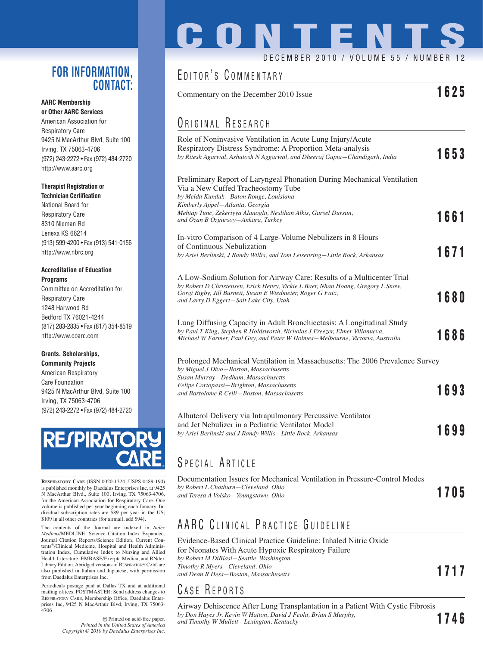#### **FOR INFORMATION, CONTACT:**

#### **AARC Membership or Other AARC Services**

American Association for Respiratory Care 9425 N MacArthur Blvd, Suite 100 Irving, TX 75063-4706 (972) 243-2272 • Fax (972) 484-2720 http://www.aarc.org

#### **Therapist Registration or**

**Technician Certification** National Board for Respiratory Care 8310 Nieman Rd Lenexa KS 66214 (913) 599-4200 • Fax (913) 541-0156 http://www.nbrc.org

#### **Accreditation of Education Programs**

Committee on Accreditation for Respiratory Care 1248 Harwood Rd Bedford TX 76021-4244 (817) 283-2835 • Fax (817) 354-8519 http://www.coarc.com

#### **Grants, Scholarships, Community Projects**

American Respiratory Care Foundation 9425 N MacArthur Blvd, Suite 100 Irving, TX 75063-4706 (972) 243-2272 • Fax (972) 484-2720



**RESPIRATORY CARE** (ISSN 0020-1324, USPS 0489-190) is published monthly by Daedalus Enterprises Inc, at 9425 N MacArthur Blvd., Suite 100, Irving, TX 75063-4706, for the American Association for Respiratory Care. One volume is published per year beginning each January. Individual subscription rates are \$89 per year in the US; \$109 in all other countries (for airmail, add \$94).

The contents of the Journal are indexed in *Index Medicus*/MEDLINE, Science Citation Index Expanded, Journal Citation Reports/Science Edition, Current Contents®/Clinical Medicine, Hospital and Health Administration Index, Cumulative Index to Nursing and Allied Health Literature, EMBASE/Exerpta Medica, and RNdex Library Edition. Abridged versions of RESPIRATORY CARE are also published in Italian and Japanese, with permission from Daedalus Enterprises Inc.

Periodicals postage paid at Dallas TX and at additional mailing offices. POSTMASTER: Send address changes to RESPIRATORY CARE, Membership Office, Daedalus Enterprises Inc, 9425 N MacArthur Blvd, Irving, TX 75063- 4706

> Printed on acid-free paper. *Printed in the United States of America Copyright © 2010 by Daedalus Enterprises Inc.*

# **CONTENTS**

### DECEMBER 2010 / VOLUME 55 / NUMBER

# EDITOR'S COMMENTARY

Commentary on the December 2010 Issue **1625**

# ORIGINAL RESEARCH

| Role of Noninvasive Ventilation in Acute Lung Injury/Acute<br>Respiratory Distress Syndrome: A Proportion Meta-analysis<br>by Ritesh Agarwal, Ashutosh N Aggarwal, and Dheeraj Gupta-Chandigarh, India                                                              | 1653        |
|---------------------------------------------------------------------------------------------------------------------------------------------------------------------------------------------------------------------------------------------------------------------|-------------|
| Preliminary Report of Laryngeal Phonation During Mechanical Ventilation<br>Via a New Cuffed Tracheostomy Tube<br>by Melda Kunduk-Baton Rouge, Louisiana<br>Kimberly Appel-Atlanta, Georgia                                                                          |             |
| Mehtap Tunc, Zekeriyya Alanoglu, Neslihan Alkis, Gursel Dursun,<br>and Ozan B Ozgursoy-Ankara, Turkey                                                                                                                                                               | 1661        |
| In-vitro Comparison of 4 Large-Volume Nebulizers in 8 Hours<br>of Continuous Nebulization<br>by Ariel Berlinski, J Randy Willis, and Tom Leisenring-Little Rock, Arkansas                                                                                           | 1671        |
| A Low-Sodium Solution for Airway Care: Results of a Multicenter Trial<br>by Robert D Christensen, Erick Henry, Vickie L Baer, Nhan Hoang, Gregory L Snow,<br>Gorgi Rigby, Jill Burnett, Susan E Wiedmeier, Roger G Faix,<br>and Larry D Eggert-Salt Lake City, Utah | 1680        |
| Lung Diffusing Capacity in Adult Bronchiectasis: A Longitudinal Study<br>by Paul T King, Stephen R Holdsworth, Nicholas J Freezer, Elmer Villanueva,<br>Michael W Farmer, Paul Guy, and Peter W Holmes-Melbourne, Victoria, Australia                               | 1686        |
| Prolonged Mechanical Ventilation in Massachusetts: The 2006 Prevalence Survey<br>by Miguel J Divo-Boston, Massachusetts<br>Susan Murray-Dedham, Massachusetts                                                                                                       |             |
| Felipe Cortopassi-Brighton, Massachusetts<br>and Bartolome R Celli-Boston, Massachusetts                                                                                                                                                                            | 1693        |
| Albuterol Delivery via Intrapulmonary Percussive Ventilator<br>and Jet Nebulizer in a Pediatric Ventilator Model                                                                                                                                                    |             |
| by Ariel Berlinski and J Randy Willis-Little Rock, Arkansas                                                                                                                                                                                                         | <b>1699</b> |

## SPECIAL ARTICLE

| Documentation Issues for Mechanical Ventilation in Pressure-Control Modes |      |  |
|---------------------------------------------------------------------------|------|--|
| by Robert L Chatburn—Cleveland, Ohio                                      | 1705 |  |
| and Teresa A Volsko—Youngstown, Ohio                                      |      |  |

# AARC CLINICAL PRACTICE GUIDELINE

Evidence-Based Clinical Practice Guideline: Inhaled Nitric Oxide for Neonates With Acute Hypoxic Respiratory Failure *by Robert M DiBlasi—Seattle, Washington Timothy R Myers—Cleveland, Ohio and Dean R Hess—Boston, Massachusetts* **1717**

#### C ASE R EPORTS

Airway Dehiscence After Lung Transplantation in a Patient With Cystic Fibrosis *by Don Hayes Jr, Kevin W Hatton, David J Feola, Brian S Murphy, and Timothy W Mullett—Lexington, Kentucky* **1746**